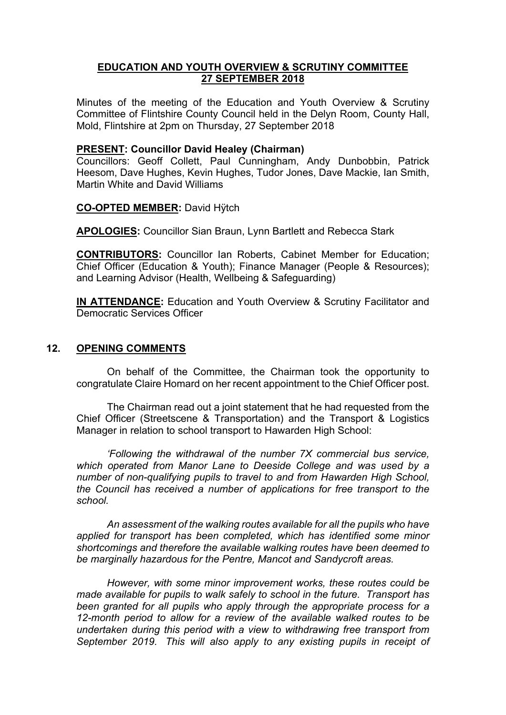# **EDUCATION AND YOUTH OVERVIEW & SCRUTINY COMMITTEE 27 SEPTEMBER 2018**

Minutes of the meeting of the Education and Youth Overview & Scrutiny Committee of Flintshire County Council held in the Delyn Room, County Hall, Mold, Flintshire at 2pm on Thursday, 27 September 2018

## **PRESENT: Councillor David Healey (Chairman)**

Councillors: Geoff Collett, Paul Cunningham, Andy Dunbobbin, Patrick Heesom, Dave Hughes, Kevin Hughes, Tudor Jones, Dave Mackie, Ian Smith, Martin White and David Williams

**CO-OPTED MEMBER:** David Hÿtch

**APOLOGIES:** Councillor Sian Braun, Lynn Bartlett and Rebecca Stark

**CONTRIBUTORS:** Councillor Ian Roberts, Cabinet Member for Education; Chief Officer (Education & Youth); Finance Manager (People & Resources); and Learning Advisor (Health, Wellbeing & Safeguarding)

**IN ATTENDANCE:** Education and Youth Overview & Scrutiny Facilitator and Democratic Services Officer

# **12. OPENING COMMENTS**

On behalf of the Committee, the Chairman took the opportunity to congratulate Claire Homard on her recent appointment to the Chief Officer post.

The Chairman read out a joint statement that he had requested from the Chief Officer (Streetscene & Transportation) and the Transport & Logistics Manager in relation to school transport to Hawarden High School:

*'Following the withdrawal of the number 7X commercial bus service, which operated from Manor Lane to Deeside College and was used by a number of non-qualifying pupils to travel to and from Hawarden High School, the Council has received a number of applications for free transport to the school.*

*An assessment of the walking routes available for all the pupils who have applied for transport has been completed, which has identified some minor shortcomings and therefore the available walking routes have been deemed to be marginally hazardous for the Pentre, Mancot and Sandycroft areas.*

*However, with some minor improvement works, these routes could be made available for pupils to walk safely to school in the future. Transport has been granted for all pupils who apply through the appropriate process for a 12-month period to allow for a review of the available walked routes to be undertaken during this period with a view to withdrawing free transport from September 2019. This will also apply to any existing pupils in receipt of*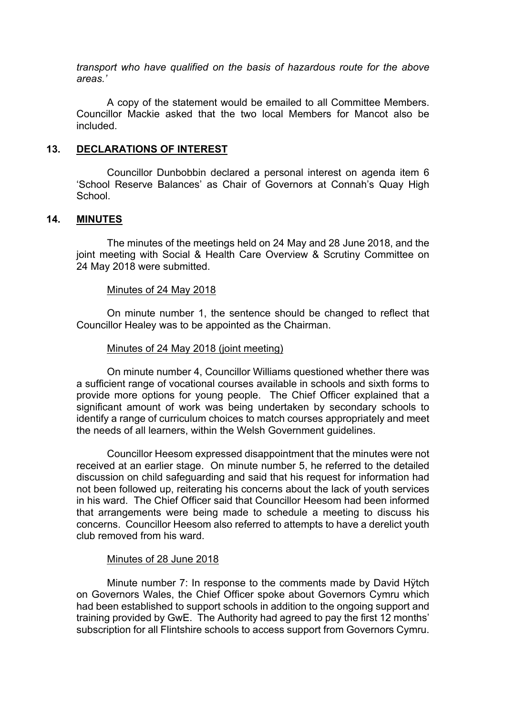*transport who have qualified on the basis of hazardous route for the above areas.'*

A copy of the statement would be emailed to all Committee Members. Councillor Mackie asked that the two local Members for Mancot also be included.

#### **13. DECLARATIONS OF INTEREST**

Councillor Dunbobbin declared a personal interest on agenda item 6 'School Reserve Balances' as Chair of Governors at Connah's Quay High **School** 

### **14. MINUTES**

The minutes of the meetings held on 24 May and 28 June 2018, and the joint meeting with Social & Health Care Overview & Scrutiny Committee on 24 May 2018 were submitted.

#### Minutes of 24 May 2018

On minute number 1, the sentence should be changed to reflect that Councillor Healey was to be appointed as the Chairman.

#### Minutes of 24 May 2018 (joint meeting)

On minute number 4, Councillor Williams questioned whether there was a sufficient range of vocational courses available in schools and sixth forms to provide more options for young people. The Chief Officer explained that a significant amount of work was being undertaken by secondary schools to identify a range of curriculum choices to match courses appropriately and meet the needs of all learners, within the Welsh Government guidelines.

Councillor Heesom expressed disappointment that the minutes were not received at an earlier stage. On minute number 5, he referred to the detailed discussion on child safeguarding and said that his request for information had not been followed up, reiterating his concerns about the lack of youth services in his ward. The Chief Officer said that Councillor Heesom had been informed that arrangements were being made to schedule a meeting to discuss his concerns. Councillor Heesom also referred to attempts to have a derelict youth club removed from his ward.

#### Minutes of 28 June 2018

Minute number 7: In response to the comments made by David Hӱtch on Governors Wales, the Chief Officer spoke about Governors Cymru which had been established to support schools in addition to the ongoing support and training provided by GwE. The Authority had agreed to pay the first 12 months' subscription for all Flintshire schools to access support from Governors Cymru.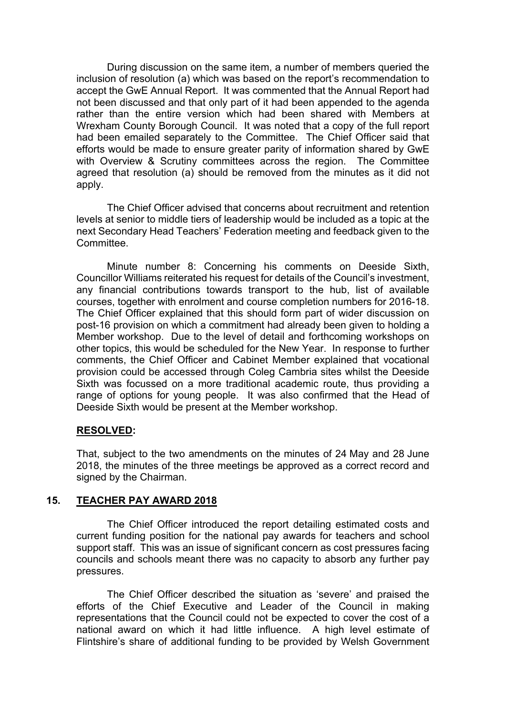During discussion on the same item, a number of members queried the inclusion of resolution (a) which was based on the report's recommendation to accept the GwE Annual Report. It was commented that the Annual Report had not been discussed and that only part of it had been appended to the agenda rather than the entire version which had been shared with Members at Wrexham County Borough Council. It was noted that a copy of the full report had been emailed separately to the Committee. The Chief Officer said that efforts would be made to ensure greater parity of information shared by GwE with Overview & Scrutiny committees across the region. The Committee agreed that resolution (a) should be removed from the minutes as it did not apply.

The Chief Officer advised that concerns about recruitment and retention levels at senior to middle tiers of leadership would be included as a topic at the next Secondary Head Teachers' Federation meeting and feedback given to the Committee.

Minute number 8: Concerning his comments on Deeside Sixth, Councillor Williams reiterated his request for details of the Council's investment, any financial contributions towards transport to the hub, list of available courses, together with enrolment and course completion numbers for 2016-18. The Chief Officer explained that this should form part of wider discussion on post-16 provision on which a commitment had already been given to holding a Member workshop. Due to the level of detail and forthcoming workshops on other topics, this would be scheduled for the New Year. In response to further comments, the Chief Officer and Cabinet Member explained that vocational provision could be accessed through Coleg Cambria sites whilst the Deeside Sixth was focussed on a more traditional academic route, thus providing a range of options for young people. It was also confirmed that the Head of Deeside Sixth would be present at the Member workshop.

### **RESOLVED:**

That, subject to the two amendments on the minutes of 24 May and 28 June 2018, the minutes of the three meetings be approved as a correct record and signed by the Chairman.

### **15. TEACHER PAY AWARD 2018**

The Chief Officer introduced the report detailing estimated costs and current funding position for the national pay awards for teachers and school support staff. This was an issue of significant concern as cost pressures facing councils and schools meant there was no capacity to absorb any further pay pressures.

The Chief Officer described the situation as 'severe' and praised the efforts of the Chief Executive and Leader of the Council in making representations that the Council could not be expected to cover the cost of a national award on which it had little influence. A high level estimate of Flintshire's share of additional funding to be provided by Welsh Government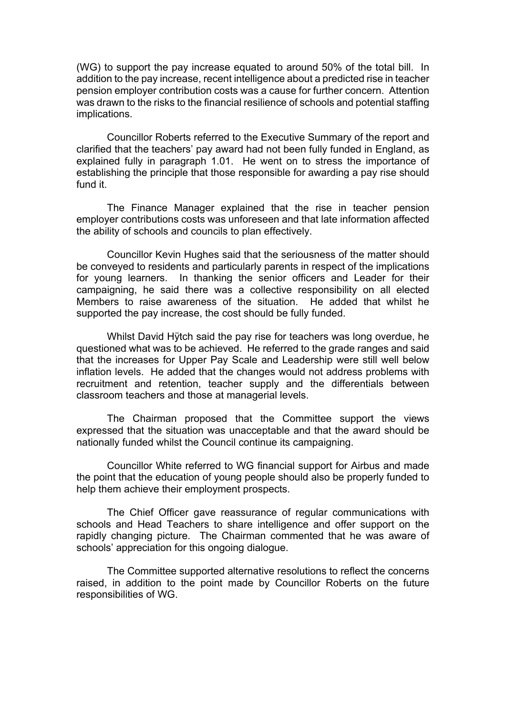(WG) to support the pay increase equated to around 50% of the total bill. In addition to the pay increase, recent intelligence about a predicted rise in teacher pension employer contribution costs was a cause for further concern. Attention was drawn to the risks to the financial resilience of schools and potential staffing implications.

Councillor Roberts referred to the Executive Summary of the report and clarified that the teachers' pay award had not been fully funded in England, as explained fully in paragraph 1.01. He went on to stress the importance of establishing the principle that those responsible for awarding a pay rise should fund it.

The Finance Manager explained that the rise in teacher pension employer contributions costs was unforeseen and that late information affected the ability of schools and councils to plan effectively.

Councillor Kevin Hughes said that the seriousness of the matter should be conveyed to residents and particularly parents in respect of the implications for young learners. In thanking the senior officers and Leader for their campaigning, he said there was a collective responsibility on all elected Members to raise awareness of the situation. He added that whilst he supported the pay increase, the cost should be fully funded.

Whilst David Hÿtch said the pay rise for teachers was long overdue, he questioned what was to be achieved. He referred to the grade ranges and said that the increases for Upper Pay Scale and Leadership were still well below inflation levels. He added that the changes would not address problems with recruitment and retention, teacher supply and the differentials between classroom teachers and those at managerial levels.

The Chairman proposed that the Committee support the views expressed that the situation was unacceptable and that the award should be nationally funded whilst the Council continue its campaigning.

Councillor White referred to WG financial support for Airbus and made the point that the education of young people should also be properly funded to help them achieve their employment prospects.

The Chief Officer gave reassurance of regular communications with schools and Head Teachers to share intelligence and offer support on the rapidly changing picture. The Chairman commented that he was aware of schools' appreciation for this ongoing dialogue.

The Committee supported alternative resolutions to reflect the concerns raised, in addition to the point made by Councillor Roberts on the future responsibilities of WG.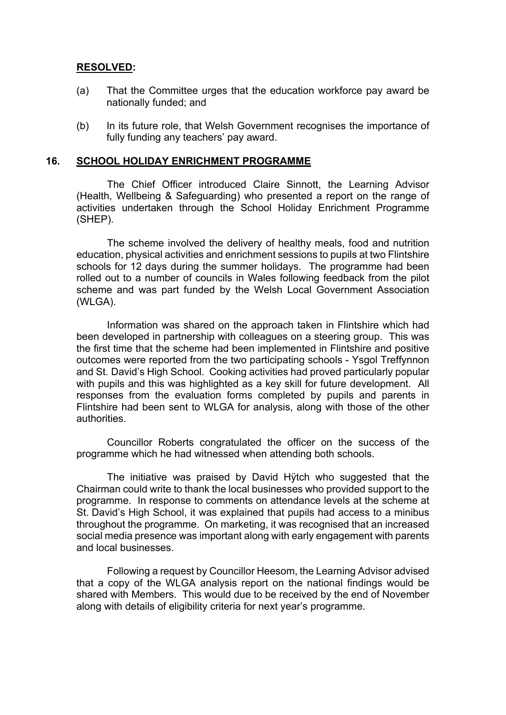# **RESOLVED:**

- (a) That the Committee urges that the education workforce pay award be nationally funded; and
- (b) In its future role, that Welsh Government recognises the importance of fully funding any teachers' pay award.

#### **16. SCHOOL HOLIDAY ENRICHMENT PROGRAMME**

The Chief Officer introduced Claire Sinnott, the Learning Advisor (Health, Wellbeing & Safeguarding) who presented a report on the range of activities undertaken through the School Holiday Enrichment Programme (SHEP).

The scheme involved the delivery of healthy meals, food and nutrition education, physical activities and enrichment sessions to pupils at two Flintshire schools for 12 days during the summer holidays. The programme had been rolled out to a number of councils in Wales following feedback from the pilot scheme and was part funded by the Welsh Local Government Association (WLGA).

Information was shared on the approach taken in Flintshire which had been developed in partnership with colleagues on a steering group. This was the first time that the scheme had been implemented in Flintshire and positive outcomes were reported from the two participating schools - Ysgol Treffynnon and St. David's High School. Cooking activities had proved particularly popular with pupils and this was highlighted as a key skill for future development. All responses from the evaluation forms completed by pupils and parents in Flintshire had been sent to WLGA for analysis, along with those of the other authorities.

Councillor Roberts congratulated the officer on the success of the programme which he had witnessed when attending both schools.

The initiative was praised by David Hÿtch who suggested that the Chairman could write to thank the local businesses who provided support to the programme. In response to comments on attendance levels at the scheme at St. David's High School, it was explained that pupils had access to a minibus throughout the programme. On marketing, it was recognised that an increased social media presence was important along with early engagement with parents and local businesses.

Following a request by Councillor Heesom, the Learning Advisor advised that a copy of the WLGA analysis report on the national findings would be shared with Members. This would due to be received by the end of November along with details of eligibility criteria for next year's programme.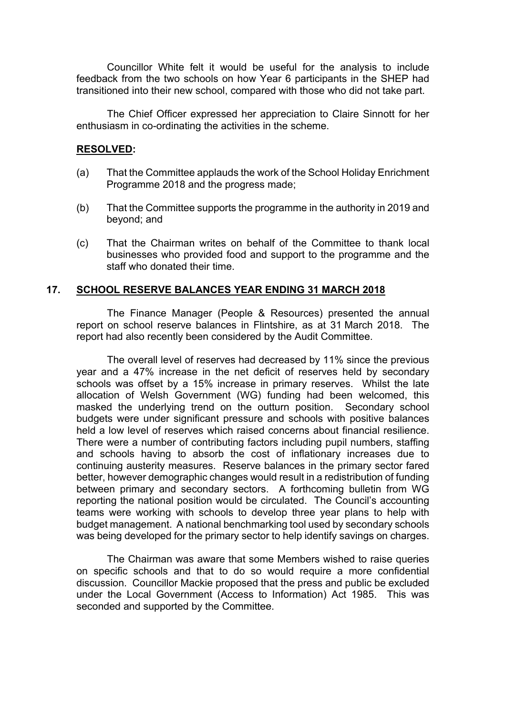Councillor White felt it would be useful for the analysis to include feedback from the two schools on how Year 6 participants in the SHEP had transitioned into their new school, compared with those who did not take part.

The Chief Officer expressed her appreciation to Claire Sinnott for her enthusiasm in co-ordinating the activities in the scheme.

## **RESOLVED:**

- (a) That the Committee applauds the work of the School Holiday Enrichment Programme 2018 and the progress made;
- (b) That the Committee supports the programme in the authority in 2019 and beyond; and
- (c) That the Chairman writes on behalf of the Committee to thank local businesses who provided food and support to the programme and the staff who donated their time.

## **17. SCHOOL RESERVE BALANCES YEAR ENDING 31 MARCH 2018**

The Finance Manager (People & Resources) presented the annual report on school reserve balances in Flintshire, as at 31 March 2018. The report had also recently been considered by the Audit Committee.

The overall level of reserves had decreased by 11% since the previous year and a 47% increase in the net deficit of reserves held by secondary schools was offset by a 15% increase in primary reserves. Whilst the late allocation of Welsh Government (WG) funding had been welcomed, this masked the underlying trend on the outturn position. Secondary school budgets were under significant pressure and schools with positive balances held a low level of reserves which raised concerns about financial resilience. There were a number of contributing factors including pupil numbers, staffing and schools having to absorb the cost of inflationary increases due to continuing austerity measures. Reserve balances in the primary sector fared better, however demographic changes would result in a redistribution of funding between primary and secondary sectors. A forthcoming bulletin from WG reporting the national position would be circulated. The Council's accounting teams were working with schools to develop three year plans to help with budget management. A national benchmarking tool used by secondary schools was being developed for the primary sector to help identify savings on charges.

The Chairman was aware that some Members wished to raise queries on specific schools and that to do so would require a more confidential discussion. Councillor Mackie proposed that the press and public be excluded under the Local Government (Access to Information) Act 1985. This was seconded and supported by the Committee.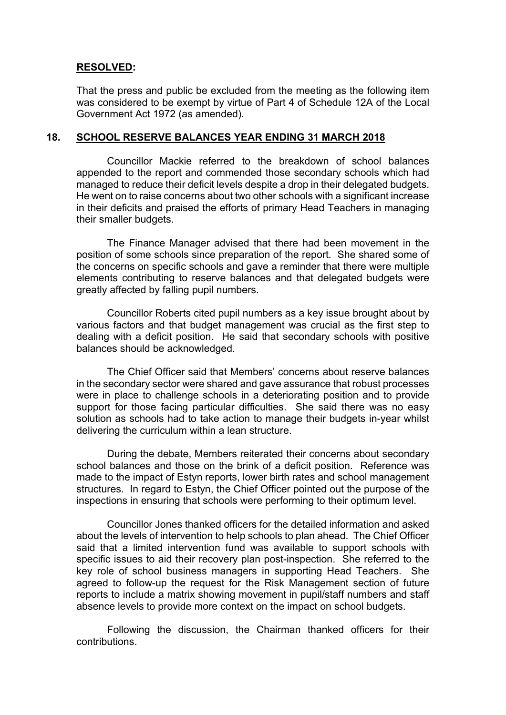## **RESOLVED:**

That the press and public be excluded from the meeting as the following item was considered to be exempt by virtue of Part 4 of Schedule 12A of the Local Government Act 1972 (as amended).

### **18. SCHOOL RESERVE BALANCES YEAR ENDING 31 MARCH 2018**

Councillor Mackie referred to the breakdown of school balances appended to the report and commended those secondary schools which had managed to reduce their deficit levels despite a drop in their delegated budgets. He went on to raise concerns about two other schools with a significant increase in their deficits and praised the efforts of primary Head Teachers in managing their smaller budgets.

The Finance Manager advised that there had been movement in the position of some schools since preparation of the report. She shared some of the concerns on specific schools and gave a reminder that there were multiple elements contributing to reserve balances and that delegated budgets were greatly affected by falling pupil numbers.

Councillor Roberts cited pupil numbers as a key issue brought about by various factors and that budget management was crucial as the first step to dealing with a deficit position. He said that secondary schools with positive balances should be acknowledged.

The Chief Officer said that Members' concerns about reserve balances in the secondary sector were shared and gave assurance that robust processes were in place to challenge schools in a deteriorating position and to provide support for those facing particular difficulties. She said there was no easy solution as schools had to take action to manage their budgets in-year whilst delivering the curriculum within a lean structure.

During the debate, Members reiterated their concerns about secondary school balances and those on the brink of a deficit position. Reference was made to the impact of Estyn reports, lower birth rates and school management structures. In regard to Estyn, the Chief Officer pointed out the purpose of the inspections in ensuring that schools were performing to their optimum level.

Councillor Jones thanked officers for the detailed information and asked about the levels of intervention to help schools to plan ahead. The Chief Officer said that a limited intervention fund was available to support schools with specific issues to aid their recovery plan post-inspection. She referred to the key role of school business managers in supporting Head Teachers. She agreed to follow-up the request for the Risk Management section of future reports to include a matrix showing movement in pupil/staff numbers and staff absence levels to provide more context on the impact on school budgets.

Following the discussion, the Chairman thanked officers for their contributions.